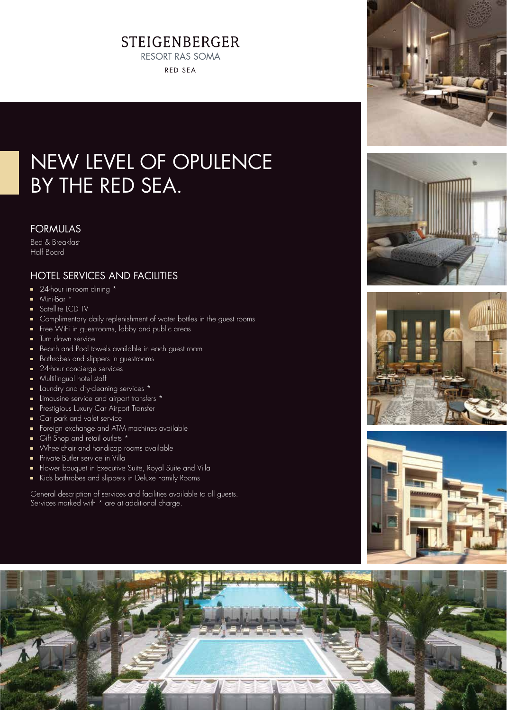## **STEIGENBERGER RESORT RAS SOMA**

**RED SEA** 

# NEW LEVEL OF OPULENCE BY THE RED SEA.

### FORMULAS

Bed & Breakfast Half Board

## HOTEL SERVICES AND FACILITIES

- 24-hour in-room dining \*
- Mini-Bar \*
- Satellite LCD TV
- Complimentary daily replenishment of water bottles in the guest rooms
- Free WiFi in guestrooms, lobby and public areas
- **Turn down service**
- Beach and Pool towels available in each guest room
- Bathrobes and slippers in guestrooms
- 24-hour concierge services
- **Multilingual hotel staff**
- Laundry and dry-cleaning services \*
- **E** Limousine service and airport transfers \*
- **Prestigious Luxury Car Airport Transfer**
- Car park and valet service
- Foreign exchange and ATM machines available
- Gift Shop and retail outlets \*
- Wheelchair and handicap rooms available
- **Private Butler service in Villa**
- **Flower bouquet in Executive Suite, Royal Suite and Villa**
- Kids bathrobes and slippers in Deluxe Family Rooms

General description of services and facilities available to all guests. Services marked with \* are at additional charge.









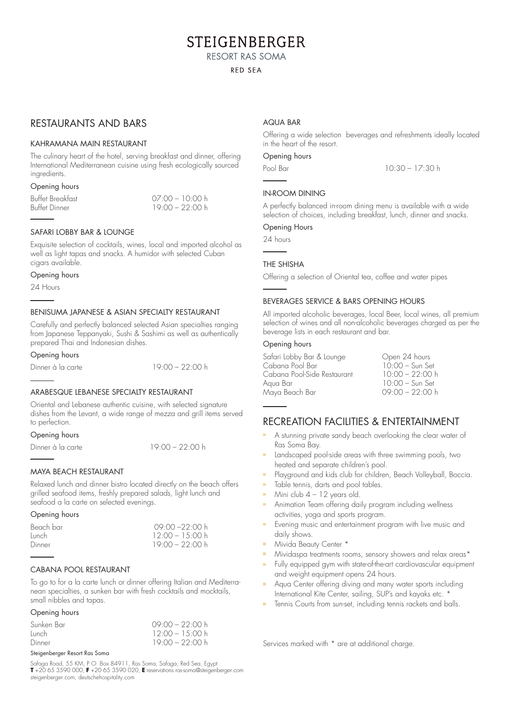## **STEIGENBERGER**

**RESORT RAS SOMA** 

#### **RED SEA**

### RESTAURANTS AND BARS

#### KAHRAMANA MAIN RESTAURANT

The culinary heart of the hotel, serving breakfast and dinner, offering International Mediterranean cuisine using fresh ecologically sourced ingredients.

#### Opening hours

| Buffet Breakfast | $07.00 - 10.00 h$ |
|------------------|-------------------|
| Buffet Dinner    | $19.00 - 22:00 h$ |

#### SAFARI LOBBY BAR & LOUNGE

Exquisite selection of cocktails, wines, local and imported alcohol as well as light tapas and snacks. A humidor with selected Cuban cigars available.

#### Opening hours

24 Hours

#### BENISUMA JAPANESE & ASIAN SPECIALTY RESTAURANT

Carefully and perfectly balanced selected Asian specialties ranging from Japanese Teppanyaki, Sushi & Sashimi as well as authentically prepared Thai and Indonesian dishes.

Opening hours

Dinner à la carte 19:00 – 22:00 h

#### ARABESQUE LEBANESE SPECIALTY RESTAURANT

Oriental and Lebanese authentic cuisine, with selected signature dishes from the Levant, a wide range of mezza and grill items served to perfection.

#### Opening hours

Dinner à la carte 19:00 – 22:00 h

#### MAYA BEACH RESTAURANT

Relaxed lunch and dinner bistro located directly on the beach offers grilled seafood items, freshly prepared salads, light lunch and seafood a la carte on selected evenings.

#### Opening hours

| Beach bar | $09.00 - 22.00 h$ |
|-----------|-------------------|
| Tunch     | $12.00 - 15.00 h$ |
| Dinner    | $19.00 - 22.00 h$ |

#### CABANA POOL RESTAURANT

To go to for a la carte lunch or dinner offering Italian and Mediterranean specialties, a sunken bar with fresh cocktails and mocktails, small nibbles and tapas.

#### Opening hours

| Sunken Bar | $09.00 - 22.00 h$ |
|------------|-------------------|
| Lunch.     | $12.00 - 15.00$ h |
| Dinner     | $19.00 - 22.00 h$ |

#### Steigenberger Resort Ras Soma

Safaga Road, 55 KM, P.O. Box 84911, Ras Soma, Safaga, Red Sea, Egypt **T** +20 65 3590 000, **F** +20 65 3590 020, **E** reservations.ras-soma@steigenberger.com steigenberger.com, deutschehospitality.com

#### AQUA BAR

Offering a wide selection beverages and refreshments ideally located in the heart of the resort.

#### Opening hours

Pool Bar 10:30 – 17:30 h

#### IN-ROOM DINING

A perfectly balanced in-room dining menu is available with a wide selection of choices, including breakfast, lunch, dinner and snacks.

#### Opening Hours

24 hours

#### THE SHISHA

Offering a selection of Oriental tea, coffee and water pipes

#### BEVERAGES SERVICE & BARS OPENING HOURS

All imported alcoholic beverages, local Beer, local wines, all premium selection of wines and all non-alcoholic beverages charged as per the beverage lists in each restaurant and bar.

#### Opening hours

| Safari Lobby Bar & Lounge   | Open 24 hours     |
|-----------------------------|-------------------|
| Cabana Pool Bar             | $10:00 - Sun$ Set |
| Cabana Pool-Side Restaurant | $10:00 - 22:00 h$ |
| Aqua Bar                    | $10:00 - Sun$ Set |
| Maya Beach Bar              | $09:00 - 22:00 h$ |
|                             |                   |

## RECREATION FACILITIES & ENTERTAINMENT

- A stunning private sandy beach overlooking the clear water of Ras Soma Bay.
- Landscaped pool-side areas with three swimming pools, two heated and separate children's pool.
- **Playground and kids club for children, Beach Volleyball, Boccia.**
- Table tennis, darts and pool tables.
- Mini club  $4 12$  years old.
- Animation Team offering daily program including wellness activities, yoga and sports program.
- Evening music and entertainment program with live music and daily shows.
- Mivida Beauty Center \*
- Mividaspa treatments rooms, sensory showers and relax areas\*
- Fully equipped gym with state-of-the-art cardiovascular equipment and weight equipment opens 24 hours.
- Aqua Center offering diving and many water sports including International Kite Center, sailing, SUP's and kayaks etc. \*
- Tennis Courts from sun-set, including tennis rackets and balls.

Services marked with \* are at additional charge.